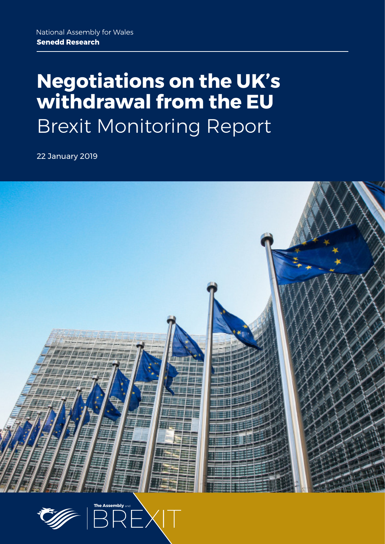# **Negotiations on the UK's withdrawal from the EU** Brexit Monitoring Report

22 January 2019



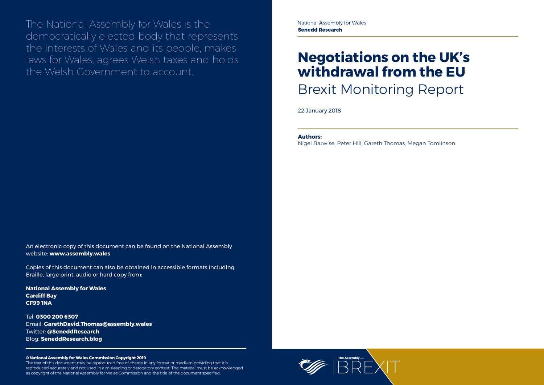

The National Assembly for Wales is the democratically elected body that represents the interests of Wales and its people, makes laws for Wales, agrees Welsh taxes and holds the Welsh Government to account.

#### **© National Assembly for Wales Commission Copyright 2019**

The text of this document may be reproduced free of charge in any format or medium providing that it is reproduced accurately and not used in a misleading or derogatory context. The material must be acknowledged as copyright of the National Assembly for Wales Commission and the title of the document specified.

# **Negotiations on the UK's withdrawal from the EU** Brexit Monitoring Report

22 January 2018

An electronic copy of this document can be found on the National Assembly website: **www.assembly.wales**

Copies of this document can also be obtained in accessible formats including Braille, large print, audio or hard copy from:

**National Assembly for Wales Cardiff Bay CF99 1NA**

Tel: **0300 200 6307** Email: **[GarethDavid.Thomas@assembly.wales](mailto:GarethDavid.Thomas%40assembly.wales?subject=)** Twitter: **[@SeneddResearch](http://www.twitter.com/@SeneddResearch)** Blog: **[SeneddResearch.blog](http://SeneddResearch.blog)**

#### **Authors:**

Nigel Barwise, Peter Hill, Gareth Thomas, Megan Tomlinson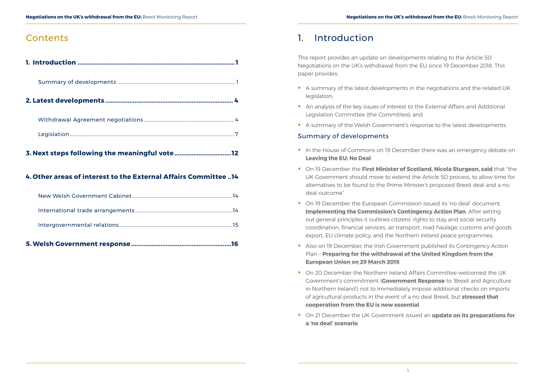## **Contents**

**3. [Next steps following the meaningful vote.................................12](#page-8-0)**

### **4. [Other areas of interest to the External Affairs Committee](#page-9-0) ..14**

**[5.Welsh Government response..........................................................16](#page-10-0)**

## 1. Introduction

This report provides an update on developments relating to the Article 50 Negotiations on the UK's withdrawal from the EU since 19 December 2018. This paper provides:

- A summary of the latest developments in the negotiations and the related UK legislation;
- An analysis of the key issues of interest to the External Affairs and Additional Legislation Committee (the Committee); and
- A summary of the Welsh Government's response to the latest developments.

- I In the House of Commons on 19 December there was an emergency debate on **[Leaving the EU: No Deal](https://hansard.parliament.uk/commons/2018-12-19/debates/1C2F4787-3C67-4824-8D9C-702216D090A9/LeavingTheEUNoDeal)**.
- **On 19 December the [First Minister of Scotland, Nicola Sturgeon, said](https://www.gov.scot/news/brexit-talks-3/)** that "the UK Government should move to extend the Article 50 process, to allow time for alternatives to be found to the Prime Minister's proposed Brexit deal and a nodeal outcome".
- On 19 December the European Commission issued its 'no deal' document, **[Implementing the Commission's Contingency Action Plan](https://ec.europa.eu/info/sites/info/files/com-2018-890-final.pdf)**. After setting out general principles it outlines citizens' rights to stay and social security coordination, financial services, air transport, road haulage, customs and goods export, EU climate policy, and the Northern Ireland peace programmes.
- Also on 19 December, the Irish Government published its Contingency Action Plan – **[Preparing for the withdrawal of the United Kingdom from the](https://merrionstreet.ie/MerrionStreet/en/News-Room/Releases/No_Deal_Brexit_Contingency_Plan.pdf)  [European Union on 29 March 2019](https://merrionstreet.ie/MerrionStreet/en/News-Room/Releases/No_Deal_Brexit_Contingency_Plan.pdf)**.
- On 20 December the Northern Ireland Affairs Committee welcomed the UK Government's commitment (**[Government Response](https://publications.parliament.uk/pa/cm201719/cmselect/cmniaf/1847/184702.htm)** to 'Brexit and Agriculture in Northern Ireland') not to immediately impose additional checks on imports of agricultural products in the event of a no deal Brexit, but **[stressed that](https://www.parliament.uk/business/committees/committees-a-z/commons-select/northern-ireland-affairs-committee/news-parliament-2017/brexit-and-agriculture-government-response-17-19/)  [cooperation from the EU is now essential](https://www.parliament.uk/business/committees/committees-a-z/commons-select/northern-ireland-affairs-committee/news-parliament-2017/brexit-and-agriculture-government-response-17-19/)**.
- **On 21 December the UK Government issued an update on its preparations for [a 'no deal' scenario](https://www.gov.uk/government/publications/uk-governments-preparations-for-a-no-deal-scenario/uk-governments-preparations-for-a-no-deal-scenario)**.

### Summary of developments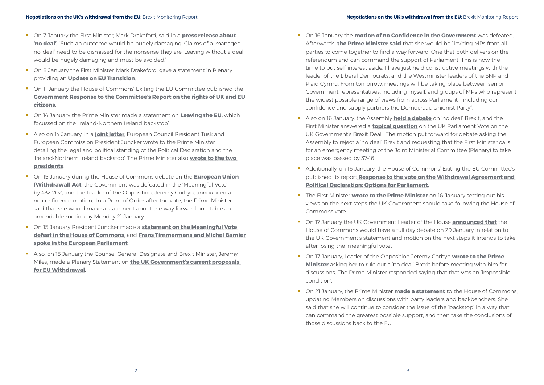- On 7 January the First Minister, Mark Drakeford, said in a **press release about ['no deal'](https://gov.wales/newsroom/firstminister/2019/190107-first-minister-starts-new-year-with-no-deal-brexit-warning/?lang=en)**, "Such an outcome would be hugely damaging. Claims of a 'managed no-deal' need to be dismissed for the nonsense they are. Leaving without a deal would be hugely damaging and must be avoided."
- On 8 January the First Minister, Mark Drakeford, gave a statement in Plenary providing an **Update on EU Transition**.
- On 11 January the House of Commons' Exiting the EU Committee published the **[Government Response to the Committee's Report on the rights of UK and EU](https://publications.parliament.uk/pa/cm201719/cmselect/cmexeu/1872/187202.htm)  [citizens](https://publications.parliament.uk/pa/cm201719/cmselect/cmexeu/1872/187202.htm)**.
- **T** On 14 January the Prime Minister made a statement on **Leaving the EU**, which focussed on the 'Ireland-Northern Ireland backstop'.
- Also on 14 January, in a **[joint letter](https://www.consilium.europa.eu/en/press/press-releases/2019/01/14/joint-letter-of-president-tusk-and-president-juncker-to-theresa-may-prime-minister-of-the-united-kingdom/)**, European Council President Tusk and European Commission President Juncker wrote to the Prime Minister detailing the legal and political standing of the Political Declaration and the 'Ireland-Northern Ireland backstop'. The Prime Minister also **[wrote to the two](https://assets.publishing.service.gov.uk/government/uploads/system/uploads/attachment_data/file/770770/Letter_from_the_Prime_Minister_to_President_Juncker_and_President_Tusk.pdf)  [presidents](https://assets.publishing.service.gov.uk/government/uploads/system/uploads/attachment_data/file/770770/Letter_from_the_Prime_Minister_to_President_Juncker_and_President_Tusk.pdf)**.
- On 15 January during the House of Commons debate on the **[European Union](https://hansard.parliament.uk/commons/2019-01-15/debates/2504FA7B-45BE-423D-8971-E451EF0594A9/EuropeanUnion(Withdrawal)Act)  [\(Withdrawal\) Act](https://hansard.parliament.uk/commons/2019-01-15/debates/2504FA7B-45BE-423D-8971-E451EF0594A9/EuropeanUnion(Withdrawal)Act)**, the Government was defeated in the 'Meaningful Vote' by 432-202, and the Leader of the Opposition, Jeremy Corbyn, announced a no confidence motion. In a Point of Order after the vote, the Prime Minister said that she would make a statement about the way forward and table an amendable motion by Monday 21 January
- On 15 January President Juncker made a **[statement on the Meaningful Vote](http://europa.eu/rapid/press-release_STATEMENT-19-432_en.htm)  [defeat in the House of Commons](http://europa.eu/rapid/press-release_STATEMENT-19-432_en.htm)**, and **[Frans Timmermans and Michel Barnier](http://europa.eu/rapid/press-release_SPEECH-19-442_en.htm)  [spoke in the European Parliament](http://europa.eu/rapid/press-release_SPEECH-19-442_en.htm)**.
- Also, on 15 January the Counsel General Designate and Brexit Minister, Jeremy Miles, made a Plenary Statement on **the UK Government's current proposals for EU Withdrawal**.
- **On 16 January the [motion of no Confidence in the Government](https://hansard.parliament.uk/commons/2019-01-16/debates/D130C27B-C328-48F8-B596-03F05BF2EF8A/NoConfidenceInHerMajesty’SGovernment)** was defeated. Afterwards, **[the Prime Minister said](https://www.gov.uk/government/speeches/pms-statement-at-downing-street-16-january-2019)** that she would be "inviting MPs from all parties to come together to find a way forward. One that both delivers on the referendum and can command the support of Parliament. This is now the time to put self-interest aside. I have just held constructive meetings with the leader of the Liberal Democrats, and the Westminster leaders of the SNP and Plaid Cymru. From tomorrow, meetings will be taking place between senior Government representatives, including myself, and groups of MPs who represent the widest possible range of views from across Parliament – including our confidence and supply partners the Democratic Unionist Party".
- Also on 16 January, the Assembly **held a debate** on 'no deal' Brexit, and the First Minister answered a **topical question** on the UK Parliament Vote on the UK Government's Brexit Deal. The motion put forward for debate asking the Assembly to reject a 'no deal' Brexit and requesting that the First Minister calls for an emergency meeting of the Joint Ministerial Committee (Plenary) to take place was passed by 37-16.
- Additionally, on 16 January, the House of Commons' Exiting the EU Committee's published its report **[Response to the vote on the Withdrawal Agreement and](https://publications.parliament.uk/pa/cm201719/cmselect/cmexeu/1902/190202.htm)  [Political Declaration: Options for Parliament.](https://publications.parliament.uk/pa/cm201719/cmselect/cmexeu/1902/190202.htm)**
- **The First Minister [wrote to the Prime Minister](https://twitter.com/jamswilliams85/status/1085551654303399941)** on 16 January setting out his views on the next steps the UK Government should take following the House of Commons vote.
- On 17 January the UK Government Leader of the House **[announced that](https://www.bbc.co.uk/news/uk-politics-46901217)** the House of Commons would have a full day debate on 29 January in relation to the UK Government's statement and motion on the next steps it intends to take after losing the 'meaningful vote'.
- On 17 January, Leader of the Opposition Jeremy Corbyn **wrote to the Prime [Minister](https://twitter.com/jeremycorbyn/status/1085892746668331008)** asking her to rule out a 'no deal' Brexit before meeting with him for discussions. The Prime Minister responded saying that that was an 'impossible condition'.
- **On 21 January, the Prime Minister [made a statement](https://www.gov.uk/government/speeches/pm-statement-to-the-house-of-commons-on-brexit-21-january-2019)** to the House of Commons, updating Members on discussions with party leaders and backbenchers. She said that she will continue to consider the issue of the 'backstop' in a way that can command the greatest possible support, and then take the conclusions of those discussions back to the EU.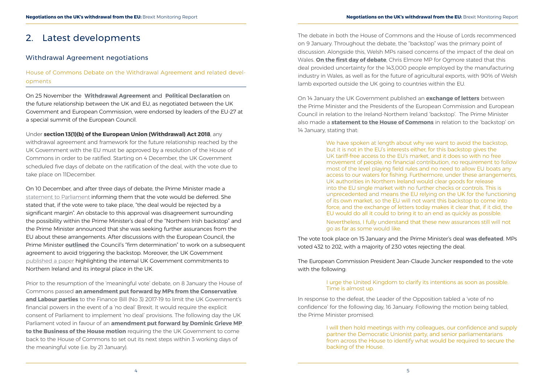## <span id="page-4-0"></span>2. Latest developments

#### Withdrawal Agreement negotiations

House of Commons Debate on the Withdrawal Agreement and related developments

On 25 November the **[Withdrawal Agreement](https://assets.publishing.service.gov.uk/government/uploads/system/uploads/attachment_data/file/759019/25_November_Agreement_on_the_withdrawal_of_the_United_Kingdom_of_Great_Britain_and_Northern_Ireland_from_the_European_Union_and_the_European_Atomic_Energy_Community.pdf)** and **[Political Declaration](https://assets.publishing.service.gov.uk/government/uploads/system/uploads/attachment_data/file/759021/25_November_Political_Declaration_setting_out_the_framework_for_the_future_relationship_between_the_European_Union_and_the_United_Kingdom__.pdf)** on the future relationship between the UK and EU, as negotiated between the UK Government and European Commission, were endorsed by leaders of the EU-27 at a special summit of the European Council.

Under **[section 13\(1\)\(b\) of the European Union \(Withdrawal\) Act 2018](http://www.legislation.gov.uk/ukpga/2018/16/section/13)**, any withdrawal agreement and framework for the future relationship reached by the UK Government with the EU must be approved by a resolution of the House of Commons in order to be ratified. Starting on 4 December, the UK Government scheduled five days of debate on the ratification of the deal, with the vote due to take place on 11December.

On 10 December, and after three days of debate, the Prime Minister made a [statement to Parliament](https://www.gov.uk/government/speeches/pms-statement-on-exiting-the-european-union-10-december-2018) informing them that the vote would be deferred. She stated that, if the vote were to take place, "the deal would be rejected by a significant margin". An obstacle to this approval was disagreement surrounding the possibility within the Prime Minister's deal of the "Northern Irish backstop" and the Prime Minister announced that she was seeking further assurances from the EU about these arrangements. After discussions with the European Council, the Prime Minister **[outlined](https://www.gov.uk/government/speeches/pm-statement-on-european-council-17-december-2018)** the Council's "firm determination" to work on a subsequent agreement to avoid triggering the backstop. Moreover, the UK Government [published a paper](https://assets.publishing.service.gov.uk/government/uploads/system/uploads/attachment_data/file/769954/NI_unilateral_commitments_-_9_January_FINAL.pdf) highlighting the internal UK Government commitments to Northern Ireland and its integral place in the UK.

We have spoken at length about why we want to avoid the backstop, but it is not in the EU's interests either, for this backstop gives the UK tariff-free access to the EU's market, and it does so with no free movement of people, no financial contribution, no requirement to follow most of the level playing field rules and no need to allow EU boats any access to our waters for fishing. Furthermore, under these arrangements, UK authorities in Northern Ireland would clear goods for release into the EU single market with no further checks or controls. This is unprecedented and means the EU relying on the UK for the functioning of its own market, so the EU will not want this backstop to come into force, and the exchange of letters today makes it clear that, if it did, the EU would do all it could to bring it to an end as quickly as possible.

Prior to the resumption of the 'meaningful vote' debate, on 8 January the House of Commons passed **[an amendment put forward by MPs from the Conservative](https://publications.parliament.uk/pa/bills/cbill/2017-2019/0304/Amend/finance3_daily_rep_0107.1-7.html)  [and Labour parties](https://publications.parliament.uk/pa/bills/cbill/2017-2019/0304/Amend/finance3_daily_rep_0107.1-7.html)** to the Finance Bill (No 3) 2017-19 to limit the UK Government's financial powers in the event of a 'no deal' Brexit. It would require the explicit consent of Parliament to implement 'no deal' provisions. The following day the UK Parliament voted in favour of an **[amendment put forward by Dominic Grieve MP](https://hansard.parliament.uk/commons/2019-01-09/debates/19010974000003/BUSINESSOFTHEHOUSE(SECTION13(1)(B)OFTHEEUROPEANUNION(WITHDRAWAL)ACT2018)(NO2))  [to the Business of the House motion](https://hansard.parliament.uk/commons/2019-01-09/debates/19010974000003/BUSINESSOFTHEHOUSE(SECTION13(1)(B)OFTHEEUROPEANUNION(WITHDRAWAL)ACT2018)(NO2))** requiring the the UK Government to come back to the House of Commons to set out its next steps within 3 working days of the meaningful vote (i.e. by 21 January).

The debate in both the House of Commons and the House of Lords recommenced on 9 January. Throughout the debate, the "backstop" was the primary point of discussion. Alongside this, Welsh MPs raised concerns of the impact of the deal on Wales. **[On the first day of debate](https://hansard.parliament.uk/commons/2019-01-09/debates/BD4FDA5D-2936-4732-918C-5275D575722A/EuropeanUnion(Withdrawal)Act)**, Chris Elmore MP for Ogmore stated that this deal provided uncertainty for the 143,000 people employed by the manufacturing industry in Wales, as well as for the future of agricultural exports, with 90% of Welsh lamb exported outside the UK going to countries within the EU.

On 14 January the UK Government published an **[exchange of letters](https://www.gov.uk/government/publications/exchange-of-letters-between-the-uk-and-eu-on-the-northern-ireland-backstop)** between the Prime Minister and the Presidents of the European Commission and European Council in relation to the Ireland-Northern Ireland 'backstop'. The Prime Minister also made a **[statement to the House of Commons](https://hansard.parliament.uk/commons/2019-01-14/debates/B9AD9CDC-0B9C-44B8-A468-45B38CD3B2A2/LeavingTheEU)** in relation to the 'backstop' on 14 January, stating that:

> Nevertheless, I fully understand that these new assurances still will not go as far as some would like.

The vote took place on 15 January and the Prime Minister's deal **[was defeated](https://www.parliament.uk/business/news/2019/parliamentary-news-2019/meaningful-vote-on-brexit-resumes-in-the-commons/)**. MPs voted 432 to 202, with a majority of 230 votes rejecting the deal.

The European Commission President Jean-Claude Juncker **[responded](https://www.bbc.co.uk/news/world-europe-46887188)** to the vote with the following:

I urge the United Kingdom to clarify its intentions as soon as possible.

## Time is almost up.

In response to the defeat, the Leader of the Opposition tabled a 'vote of no confidence' for the following day, 16 January. Following the motion being tabled, the Prime Minister promised:

> I will then hold meetings with my colleagues, our confidence and supply partner the Democratic Unionist party, and senior parliamentarians from across the House to identify what would be required to secure the backing of the House.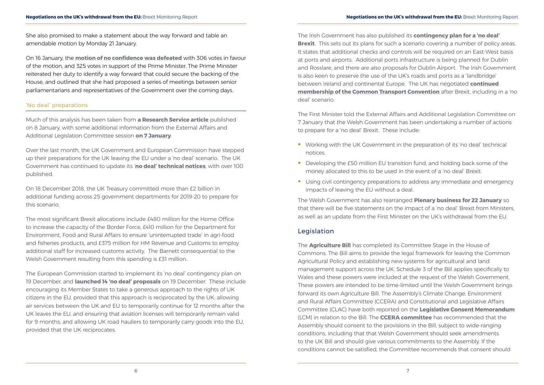<span id="page-5-0"></span>She also promised to make a statement about the way forward and table an amendable motion by Monday 21 January.

On 16 January, the **[motion of no confidence was defeated](https://hansard.parliament.uk/commons/2019-01-16/debates/D130C27B-C328-48F8-B596-03F05BF2EF8A/NoConfidenceInHerMajesty’SGovernment)** with 306 votes in favour of the motion, and 325 votes in support of the Prime Minister. The Prime Minister reiterated her duty to identify a way forward that could secure the backing of the House, and outlined that she had proposed a series of meetings between senior parliamentarians and representatives of the Government over the coming days.

#### 'No deal' preparations

Much of this analysis has been taken from **[a Research Service article](https://seneddresearch.blog/2019/01/08/preparations-for-a-no-deal-brexit-the-latest-position/)** published on 8 January, with some additional information from the External Affairs and Additional Legislation Committee session **[on 7 January](http://record.assembly.wales/Committee/5061)**.

Over the last month, the UK Government and European Commission have stepped up their preparations for the UK leaving the EU under a 'no deal' scenario. The UK Government has continued to update its '**[no deal' technical notices](https://www.gov.uk/government/collections/how-to-prepare-if-the-uk-leaves-the-eu-with-no-deal)**, with over 100 published.

On 18 December 2018, the UK Treasury committed more than £2 billion in additional funding across 25 government departments for 2019-20 to prepare for this scenario.

The most significant Brexit allocations include £480 million for the Home Office to increase the capacity of the Border Force, £410 million for the Department for Environment, Food and Rural Affairs to ensure 'uninterrupted trade' in agri-food and fisheries products, and £375 million for HM Revenue and Customs to employ additional staff for increased customs activity. The Barnett consequential to the Welsh Government resulting from this spending is £31 million.

- **•** Working with the UK Government in the preparation of its 'no deal' technical notices.
- Developing the £50 million EU transition fund, and holding back some of the money allocated to this to be used in the event of a 'no deal' Brexit.
- **Using civil contingency preparations to address any immediate and emergency** impacts of leaving the EU without a deal.

The European Commission started to implement its 'no deal' contingency plan on 19 December, and **[launched 14 'no deal' proposals](https://ec.europa.eu/info/publications/communication-19-december-2018-preparing-withdrawal-united-kingdom-european-union-30-march-2019-implementing-commissions-contingency-action-plan_en)** on 19 December. These include encouraging its Member States to take a generous approach to the rights of UK citizens in the EU, provided that this approach is reciprocated by the UK; allowing air services between the UK and EU to temporarily continue for 12 months after the UK leaves the EU, and ensuring that aviation licenses will temporarily remain valid for 9 months; and allowing UK road hauliers to temporarily carry goods into the EU, provided that the UK reciprocates.

The Irish Government has also published its **[contingency plan for a 'no deal'](https://merrionstreet.ie/MerrionStreet/en/News-Room/Releases/No_Deal_Brexit_Contingency_Plan.pdf)  [Brexit](https://merrionstreet.ie/MerrionStreet/en/News-Room/Releases/No_Deal_Brexit_Contingency_Plan.pdf)**. This sets out its plans for such a scenario covering a number of policy areas. It states that additional checks and controls will be required on an East-West basis at ports and airports. Additional ports infrastructure is being planned for Dublin and Rosslare, and there are also proposals for Dublin Airport. The Irish Government is also keen to preserve the use of the UK's roads and ports as a 'landbridge' between Ireland and continental Europe. The UK has negotiated **[continued](https://www.gov.uk/government/news/uk-to-remain-in-common-transit-convention-after-brexit)  [membership of the Common Transport Convention](https://www.gov.uk/government/news/uk-to-remain-in-common-transit-convention-after-brexit)** after Brexit, including in a 'no deal' scenario.

The First Minister told the External Affairs and Additional Legislation Committee on 7 January that the Welsh Government has been undertaking a number of actions to prepare for a 'no deal' Brexit. These include:

The Welsh Government has also rearranged **[Plenary business for 22 January](http://www.senedd.assembly.wales/ieListDocuments.aspx?MId=5419&x=1)** so that there will be five statements on the impact of a 'no deal' Brexit from Ministers, as well as an update from the First Minister on the UK's withdrawal from the EU.

#### Legislation

The **[Agriculture Bill](https://services.parliament.uk/bills/2017-19/agriculture.html)** has completed its Committee Stage in the House of Commons. The Bill aims to provide the legal framework for leaving the Common Agricultural Policy and establishing new systems for agricultural and land management support across the UK. Schedule 3 of the Bill applies specifically to Wales and these powers were included at the request of the Welsh Government. These powers are intended to be time-limited until the Welsh Government brings forward its own Agriculture Bill. The Assembly's Climate Change, Environment and Rural Affairs Committee (CCERA) and Constitutional and Legislative Affairs Committee (CLAC) have both reported on the **[Legislative Consent Memorandum](http://www.assembly.wales/laid%20documents/lcm-ld11765/lcm-ld11765-e.pdf)** (LCM) in relation to the Bill. The **[CCERA committee](http://www.assembly.wales/laid%20documents/cr-ld12020/cr-ld12020-e.pdf)** has recommended that the Assembly should consent to the provisions in the Bill, subject to wide-ranging conditions, including that that Welsh Government should seek amendments to the UK Bill and should give various commitments to the Assembly. If the conditions cannot be satisfied, the Committee recommends that consent should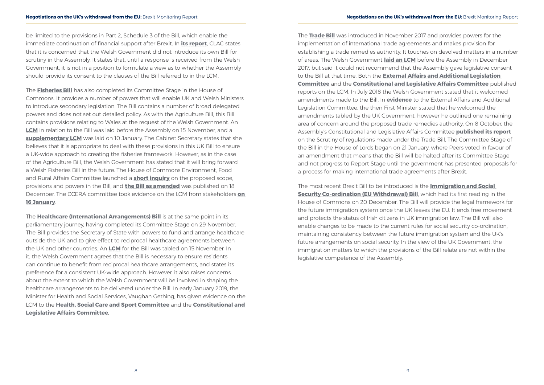be limited to the provisions in Part 2, Schedule 3 of the Bill, which enable the immediate continuation of financial support after Brexit. In **[its report](http://www.assembly.wales/laid%20documents/cr-ld12021/cr-ld12021-e.pdf)**, CLAC states that it is concerned that the Welsh Government did not introduce its own Bill for scrutiny in the Assembly. It states that, until a response is received from the Welsh Government, it is not in a position to formulate a view as to whether the Assembly should provide its consent to the clauses of the Bill referred to in the LCM.

The **[Fisheries Bill](https://services.parliament.uk/bills/2017-19/fisheries.html)** has also completed its Committee Stage in the House of Commons. It provides a number of powers that will enable UK and Welsh Ministers to introduce secondary legislation. The Bill contains a number of broad delegated powers and does not set out detailed policy. As with the Agriculture Bill, this Bill contains provisions relating to Wales at the request of the Welsh Government. An **[LCM](http://www.assembly.wales/laid%20documents/lcm-ld11847/lcm-ld11847-e.pdf)** in relation to the Bill was laid before the Assembly on 15 November, and a **[supplementary LCM](http://www.assembly.wales/laid%20documents/lcm-ld12027/lcm-ld12027-e.pdf)** was laid on 10 January. The Cabinet Secretary states that she believes that it is appropriate to deal with these provisions in this UK Bill to ensure a UK-wide approach to creating the fisheries framework. However, as in the case of the Agriculture Bill, the Welsh Government has stated that it will bring forward a Welsh Fisheries Bill in the future. The House of Commons Environment, Food and Rural Affairs Committee launched a **[short inquiry](https://www.parliament.uk/business/committees/committees-a-z/commons-select/environment-food-and-rural-affairs-committee/inquiries/parliament-2017/scrutiny-of-the-fisheries-bill-17-19/)** on the proposed scope, provisions and powers in the Bill, and **[the Bill as amended](https://publications.parliament.uk/pa/bills/cbill/2017-2019/0305/cbill_2017-20190305_en_1.htm)** was published on 18 December. The CCERA committee took evidence on the LCM from stakeholders **[on](http://senedd.assembly.wales/ieListDocuments.aspx?CId=444&MId=5095)  [16 January](http://senedd.assembly.wales/ieListDocuments.aspx?CId=444&MId=5095)**.

The **[Healthcare \(International Arrangements\) Bill](https://services.parliament.uk/bills/2017-19/healthcareinternationalarrangements.html)** is at the same point in its parliamentary journey, having completed its Committee Stage on 29 November. The Bill provides the Secretary of State with powers to fund and arrange healthcare outside the UK and to give effect to reciprocal healthcare agreements between the UK and other countries. An **[LCM](http://www.assembly.wales/laid%20documents/lcm-ld11845/lcm-ld11845-e.pdf)** for the Bill was tabled on 15 November. In it, the Welsh Government agrees that the Bill is necessary to ensure residents can continue to benefit from reciprocal healthcare arrangements, and states its preference for a consistent UK-wide approach. However, it also raises concerns about the extent to which the Welsh Government will be involved in shaping the healthcare arrangements to be delivered under the Bill. In early January 2019, the Minister for Health and Social Services, Vaughan Gething, has given evidence on the LCM to the **Health, Social Care and Sport Committee** and the **Constitutional and Legislative Affairs Committee**.

The **[Trade Bill](https://services.parliament.uk/bills/2017-19/trade.html)** was introduced in November 2017 and provides powers for the implementation of international trade agreements and makes provision for establishing a trade remedies authority. It touches on devolved matters in a number of areas. The Welsh Government **[laid an LCM](http://www.assembly.wales/laid%20documents/lcm-ld11314/lcm-ld11314-e.pdf)** before the Assembly in December 2017, but said it could not recommend that the Assembly gave legislative consent to the Bill at that time. Both the **[External Affairs and Additional Legislation](http://www.assembly.wales/laid%20documents/cr-ld11458/cr-ld11458-e.pdf)  [Committee](http://www.assembly.wales/laid%20documents/cr-ld11458/cr-ld11458-e.pdf)** and the **[Constitutional and Legislative Affairs Committee](http://www.assembly.wales/laid%20documents/cr-ld11474/cr-ld11474-e.pdf)** published reports on the LCM. In July 2018 the Welsh Government stated that it welcomed amendments made to the Bill. In **[evidence](http://record.assembly.wales/Committee/5048)** to the External Affairs and Additional Legislation Committee, the then First Minister stated that he welcomed the amendments tabled by the UK Government, however he outlined one remaining area of concern around the proposed trade remedies authority. On 8 October, the Assembly's Constitutional and Legislative Affairs Committee **[published its report](http://www.assembly.wales/laid%20documents/cr-ld11767/cr-ld11767-e.pdf)** on the Scrutiny of regulations made under the Trade Bill. The Committee Stage of the Bill in the House of Lords began on 21 January, where Peers voted in favour of an amendment that means that the Bill will be halted after its Committee Stage and not progress to Report Stage until the government has presented proposals for a process for making international trade agreements after Brexit.

The most recent Brexit Bill to be introduced is the **[Immigration and Social](https://services.parliament.uk/Bills/2017-19/immigrationandsocialsecuritycoordinationeuwithdrawal.html)  [Security Co-ordination \(EU Withdrawal\) Bill](https://services.parliament.uk/Bills/2017-19/immigrationandsocialsecuritycoordinationeuwithdrawal.html)**, which had its first reading in the House of Commons on 20 December. The Bill will provide the legal framework for the future immigration system once the UK leaves the EU. It ends free movement and protects the status of Irish citizens in UK immigration law. The Bill will also enable changes to be made to the current rules for social security co-ordination, maintaining consistency between the future immigration system and the UK's future arrangements on social security. In the view of the UK Government, the immigration matters to which the provisions of the Bill relate are not within the legislative competence of the Assembly.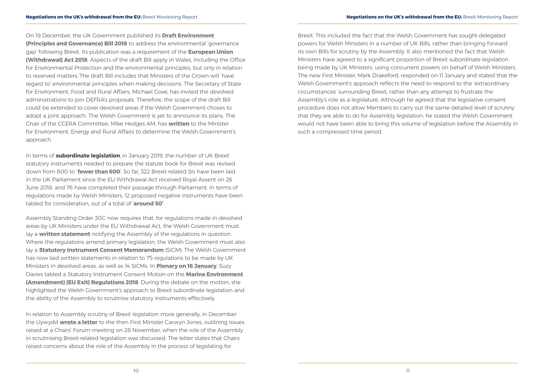On 19 December, the UK Government published its **[Draft Environment](https://assets.publishing.service.gov.uk/government/uploads/system/uploads/attachment_data/file/766849/draft-environment-bill-governance-principles.pdf)  [\(Principles and Governance\) Bill 2018](https://assets.publishing.service.gov.uk/government/uploads/system/uploads/attachment_data/file/766849/draft-environment-bill-governance-principles.pdf)** to address the environmental 'governance gap' following Brexit. Its publication was a requirement of the **[European Union](http://www.legislation.gov.uk/ukpga/2018/16/contents/enacted)  [\(Withdrawal\) Act 2018](http://www.legislation.gov.uk/ukpga/2018/16/contents/enacted)**. Aspects of the draft Bill apply in Wales, including the Office for Environmental Protection and the environmental principles, but only in relation to reserved matters. The draft Bill includes that Ministers of the Crown will 'have regard to' environmental principles when making decisions. The Secretary of State for Environment, Food and Rural Affairs, Michael Gove, has invited the devolved administrations to join DEFRA's proposals. Therefore, the scope of the draft Bill could be extended to cover devolved areas if the Welsh Government choses to adopt a joint approach. The Welsh Government is yet to announce its plans. The Chair of the CCERA Committee, Mike Hedges AM, has **[written](http://senedd.assembly.wales/documents/s83011/Correspondence%20from%20the%20Chair%20-%2010%20January%202019.pdf)** to the Minister for Environment, Energy and Rural Affairs to determine the Welsh Government's approach.

In terms of **subordinate legislation**, in January 2019, the number of UK Brexit statutory instruments needed to prepare the statute book for Brexit was revised down from 800 to '**fewer than 600**'. So far, 322 Brexit-related SIs have been laid in the UK Parliament since the EU Withdrawal Act received Royal Assent on 26 June 2018, and 76 have completed their passage through Parliament. In terms of regulations made by Welsh Ministers, 12 proposed negative instruments have been tabled for consideration, out of a total of '**[around 50'](http://www.senedd.assembly.wales/documents/s82605/Paper%2012%20-%20Letter%20from%20the%20Welsh%20Government%20regarding%20scrutiny%20of%20regulations%20arising%20from%20the%20Europ.pdf)**.

Assembly Standing Order 30C now requires that, for regulations made in devolved areas by UK Ministers under the EU Withdrawal Act, the Welsh Government must lay a **[written statement](http://senedd.assembly.wales/mgIssueHistoryHome.aspx?IId=23211)** notifying the Assembly of the regulations in question. Where the regulations amend primary legislation, the Welsh Government must also lay a **[Statutory Instrument Consent Memorandum](http://senedd.assembly.wales/mgIssueHistoryHome.aspx?IId=20457)** (SICM). The Welsh Government has now laid written statements in relation to 75 regulations to be made by UK Ministers in devolved areas, as well as 14 SICMs. In **[Plenary on 16 January](http://record.assembly.wales/Plenary/5418)**, Suzy Davies tabled a Statutory Instrument Consent Motion on the **[Marine Environment](http://www.assembly.wales/laid%20documents/sicm-ld12019/sicm-ld12019-e.pdf)  [\(Amendment\) \(EU Exit\) Regulations 2018](http://www.assembly.wales/laid%20documents/sicm-ld12019/sicm-ld12019-e.pdf)**. During the debate on the motion, she highlighted the Welsh Government's approach to Brexit subordinate legislation and the ability of the Assembly to scrutinise statutory instruments effectively.

In relation to Assembly scrutiny of Brexit legislation more generally, in December the Llywydd **[wrote a letter](http://senedd.assembly.wales/documents/s81844/Correspondence%20from%20the%20Llywydd%20to%20the%20First%20Minister%20regarding%20legislation%20for%20Brexit.pdf)** to the then First Minister Carwyn Jones, outlining issues raised at a Chairs' Forum meeting on 28 November, when the role of the Assembly in scrutinising Brexit-related legislation was discussed. The letter states that Chairs raised concerns about the role of the Assembly in the process of legislating for

Brexit. This included the fact that the Welsh Government has sought delegated powers for Welsh Ministers in a number of UK Bills, rather than bringing forward its own Bills for scrutiny by the Assembly. It also mentioned the fact that Welsh Ministers have agreed to a significant proportion of Brexit subordinate legislation being made by UK Ministers, using concurrent powers on behalf of Welsh Ministers. The new First Minister, Mark Drakeford, responded on 11 January and stated that the Welsh Government's approach reflects the need to respond to the 'extraordinary circumstances' surrounding Brexit, rather than any attempt to frustrate the Assembly's role as a legislature. Although he agreed that the legislative consent procedure does not allow Members to carry out the same detailed level of scrutiny that they are able to do for Assembly legislation, he stated the Welsh Government would not have been able to bring this volume of legislation before the Assembly in such a compressed time period.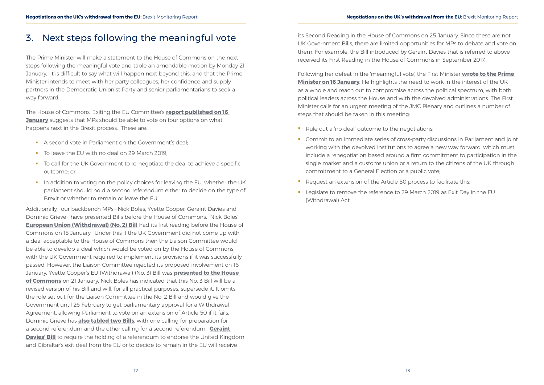## <span id="page-8-0"></span>3. Next steps following the meaningful vote

The Prime Minister will make a statement to the House of Commons on the next steps following the meaningful vote and table an amendable motion by Monday 21 January. It is difficult to say what will happen next beyond this, and that the Prime Minister intends to meet with her party colleagues, her confidence and supply partners in the Democratic Unionist Party and senior parliamentarians to seek a way forward.

- A second vote in Parliament on the Government's deal:
- To leave the EU with no deal on 29 March 2019:
- To call for the UK Government to re-negotiate the deal to achieve a specific outcome; or
- In addition to voting on the policy choices for leaving the EU, whether the UK parliament should hold a second referendum either to decide on the type of Brexit or whether to remain or leave the EU.

The House of Commons' Exiting the EU Committee's **[report published on 16](https://publications.parliament.uk/pa/cm201719/cmselect/cmexeu/1902/190202.htm)  [January](https://publications.parliament.uk/pa/cm201719/cmselect/cmexeu/1902/190202.htm)** suggests that MPs should be able to vote on four options on what happens next in the Brexit process. These are:

Additionally, four backbench MPs—Nick Boles, Yvette Cooper, Geraint Davies and Dominic Grieve—have presented Bills before the House of Commons. Nick Boles' **[European Union \(Withdrawal\) \(No. 2\) Bill](https://services.parliament.uk/Bills/2017-19/europeanunionwithdrawalno2.html)** had its first reading before the House of Commons on 15 January. Under this if the UK Government did not come up with a deal acceptable to the House of Commons then the Liaison Committee would be able to develop a deal which would be voted on by the House of Commons, with the UK Government required to implement its provisions if it was successfully passed. However, the Liaison Committee rejected its proposed involvement on 16 January. Yvette Cooper's EU (Withdrawal) (No. 3) Bill was **[presented to the House](https://publications.parliament.uk/pa/cm201719/cmagenda/OP190121.pdf)  [of Commons](https://publications.parliament.uk/pa/cm201719/cmagenda/OP190121.pdf)** on 21 January. Nick Boles has indicated that this No. 3 Bill will be a revised version of his Bill and will, for all practical purposes, supersede it. It omits the role set out for the Liaison Committee in the No. 2 Bill and would give the Government until 26 February to get parliamentary approval for a Withdrawal Agreement, allowing Parliament to vote on an extension of Article 50 if it fails. Dominic Grieve has **[also tabled two Bills](https://publications.parliament.uk/pa/cm201719/cmagenda/OP190116.pdf)**, with one calling for preparation for a second referendum and the other calling for a second referendum. **[Geraint](https://services.parliament.uk/bills/2017-19/termsofwithdrawalfromeureferendum.html)  [Davies' Bill](https://services.parliament.uk/bills/2017-19/termsofwithdrawalfromeureferendum.html)** to require the holding of a referendum to endorse the United Kingdom and Gibraltar's exit deal from the EU or to decide to remain in the EU will receive

- Rule out a 'no deal' outcome to the negotiations;
- **Commit to an immediate series of cross-party discussions in Parliament and joint** working with the devolved institutions to agree a new way forward, which must include a renegotiation based around a firm commitment to participation in the single market and a customs union or a return to the citizens of the UK through commitment to a General Election or a public vote;
- Request an extension of the Article 50 process to facilitate this;
- **EXTERNAL EXE** Legislate to remove the reference to 29 March 2019 as Exit Day in the EU (Withdrawal) Act.

its Second Reading in the House of Commons on 25 January. Since these are not UK Government Bills, there are limited opportunities for MPs to debate and vote on them. For example, the Bill introduced by Geraint Davies that is referred to above received its First Reading in the House of Commons in September 2017.

Following her defeat in the 'meaningful vote', the First Minister **[wrote to the Prime](https://twitter.com/jamswilliams85/status/1085551654303399941)  [Minister on 16 January](https://twitter.com/jamswilliams85/status/1085551654303399941)**. He highlights the need to work in the interest of the UK as a whole and reach out to compromise across the political spectrum, with both political leaders across the House and with the devolved administrations. The First Minister calls for an urgent meeting of the JMC Plenary and outlines a number of steps that should be taken in this meeting: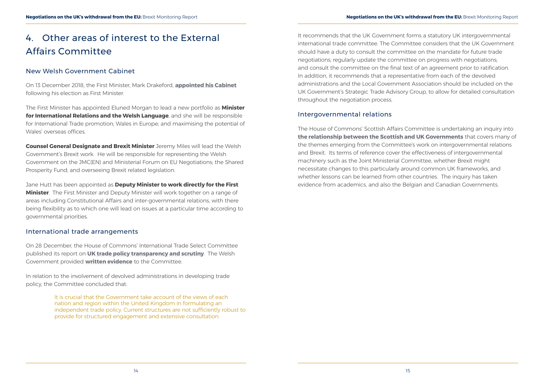## <span id="page-9-0"></span>4. Other areas of interest to the External Affairs Committee

### New Welsh Government Cabinet

On 13 December 2018, the First Minister, Mark Drakeford, **[appointed his Cabinet](https://beta.gov.wales/written-statement-ministerial-appointments)** following his election as First Minister.

The First Minister has appointed Eluned Morgan to lead a new portfolio as **Minister for International Relations and the Welsh Language**, and she will be responsible for International Trade promotion; Wales in Europe; and maximising the potential of Wales' overseas offices.

**Counsel General Designate and Brexit Minister** Jeremy Miles will lead the Welsh Government's Brexit work. He will be responsible for representing the Welsh Government on the JMC(EN) and Ministerial Forum on EU Negotiations; the Shared Prosperity Fund; and overseeing Brexit related legislation.

Jane Hutt has been appointed as **Deputy Minister to work directly for the First Minister**. The First Minister and Deputy Minister will work together on a range of areas including Constitutional Affairs and inter-governmental relations, with there being flexibility as to which one will lead on issues at a particular time according to governmental priorities.

### International trade arrangements

On 28 December, the House of Commons' International Trade Select Committee published its report on **[UK trade policy transparency and scrutiny](https://publications.parliament.uk/pa/cm201719/cmselect/cmintrade/1043/104302.htm)**. The Welsh Government provided **[written evidence](http://data.parliament.uk/writtenevidence/committeeevidence.svc/evidencedocument/international-trade-committee/uk-trade-policy-transparency-and-scrutiny/written/85937.html)** to the Committee.

In relation to the involvement of devolved administrations in developing trade policy, the Committee concluded that:

> It is crucial that the Government take account of the views of each nation and region within the United Kingdom in formulating an independent trade policy. Current structures are not sufficiently robust to provide for structured engagement and extensive consultation.

It recommends that the UK Government forms a statutory UK intergovernmental international trade committee. The Committee considers that the UK Government should have a duty to consult the committee on the mandate for future trade negotiations; regularly update the committee on progress with negotiations; and consult the committee on the final text of an agreement prior to ratification. In addition, it recommends that a representative from each of the devolved administrations and the Local Government Association should be included on the UK Government's Strategic Trade Advisory Group, to allow for detailed consultation throughout the negotiation process.

### Intergovernmental relations

The House of Commons' Scottish Affairs Committee is undertaking an inquiry into **[the relationship between the Scottish and UK Governments](https://www.parliament.uk/business/committees/committees-a-z/commons-select/scottish-affairs-committee/inquiries/parliament-2017/relationship-uk-scottish-governments-17-19/)** that covers many of the themes emerging from the Committee's work on intergovernmental relations and Brexit. Its terms of reference cover the effectiveness of intergovernmental machinery such as the Joint Ministerial Committee, whether Brexit might necessitate changes to this particularly around common UK frameworks, and whether lessons can be learned from other countries. The inquiry has taken evidence from academics, and also the Belgian and Canadian Governments.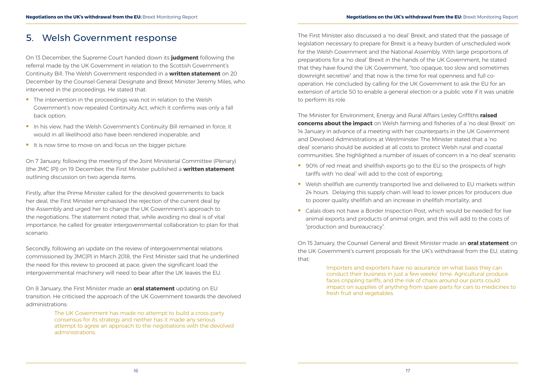## <span id="page-10-0"></span>5. Welsh Government response

On 13 December, the Supreme Court handed down its **[judgment](https://www.supremecourt.uk/cases/uksc-2018-0080.html)** following the referral made by the UK Government in relation to the Scottish Government's Continuity Bill. The Welsh Government responded in a **[written statement](https://beta.gov.wales/written-statement-supreme-court-reference-uk-withdrawal-european-union-legal-continuity-scotland-bill)** on 20 December by the Counsel General Designate and Brexit Minister Jeremy Miles, who intervened in the proceedings. He stated that:

- The intervention in the proceedings was not in relation to the Welsh Government's now-repealed Continuity Act, which it confirms was only a fall back option;
- In his view, had the Welsh Government's Continuity Bill remained in force, it would in all likelihood also have been rendered inoperable; and
- It is now time to move on and focus on the bigger picture.

On 7 January, following the meeting of the Joint Ministerial Committee (Plenary) (the JMC (P)) on 19 December, the First Minister published a **[written statement](https://beta.gov.wales/written-statement-meeting-jmcplenary-19-december-2018)** outlining discussion on two agenda items.

Firstly, after the Prime Minister called for the devolved governments to back her deal, the First Minister emphasised the rejection of the current deal by the Assembly and urged her to change the UK Government's approach to the negotiations. The statement noted that, while avoiding no deal is of vital importance, he called for greater intergovernmental collaboration to plan for that scenario.

Secondly, following an update on the review of intergovernmental relations commissioned by JMC(P) in March 2018, the First Minister said that he underlined the need for this review to proceed at pace, given the significant load the intergovernmental machinery will need to bear after the UK leaves the EU.

On 8 January, the First Minister made an **[oral statement](https://beta.gov.wales/oral-statement-update-eu-transition)** updating on EU transition. He criticised the approach of the UK Government towards the devolved administrations:

- 90% of red meat and shellfish exports go to the EU so the prospects of high tariffs with 'no deal' will add to the cost of exporting;
- Welsh shellfish are currently transported live and delivered to EU markets within 24 hours. Delaying this supply chain will lead to lower prices for producers due to poorer quality shellfish and an increase in shellfish mortality; and
- Calais does not have a Border Inspection Post, which would be needed for live animal exports and products of animal origin, and this will add to the costs of "production and bureaucracy".

The UK Government has made no attempt to build a cross-party consensus for its strategy and neither has it made any serious attempt to agree an approach to the negotiations with the devolved administrations.

The First Minister also discussed a 'no deal' Brexit, and stated that the passage of legislation necessary to prepare for Brexit is a heavy burden of unscheduled work for the Welsh Government and the National Assembly. With large proportions of preparations for a 'no deal' Brexit in the hands of the UK Government, he stated that they have found the UK Government, "too opaque, too slow and sometimes downright secretive" and that now is the time for real openness and full cooperation. He concluded by calling for the UK Government to ask the EU for an extension of article 50 to enable a general election or a public vote if it was unable to perform its role.

The Minister for Environment, Energy and Rural Affairs Lesley Griffiths **[raised](https://gov.wales/newsroom/environmentandcountryside/2019/190114-no-deal-could-have-devastating-impact-on-welsh-farming-fisheries-lesley-griffiths/?lang=en)  [concerns about the impact](https://gov.wales/newsroom/environmentandcountryside/2019/190114-no-deal-could-have-devastating-impact-on-welsh-farming-fisheries-lesley-griffiths/?lang=en)** on Welsh farming and fisheries of a 'no deal Brexit' on 14 January in advance of a meeting with her counterparts in the UK Government and Devolved Administrations at Westminster. The Minister stated that a 'no deal' scenario should be avoided at all costs to protect Welsh rural and coastal communities. She highlighted a number of issues of concern in a 'no deal' scenario:

On 15 January, the Counsel General and Brexit Minister made an **[oral statement](https://beta.gov.wales/oral-statement-uk-governments-current-proposals-eu-withdrawal)** on the UK Government's current proposals for the UK's withdrawal from the EU, stating that:

> Importers and exporters have no assurance on what basis they can conduct their business in just a few weeks' time. Agricultural produce faces crippling tariffs, and the risk of chaos around our ports could impact on supplies of anything from spare parts for cars to medicines to fresh fruit and vegetables.